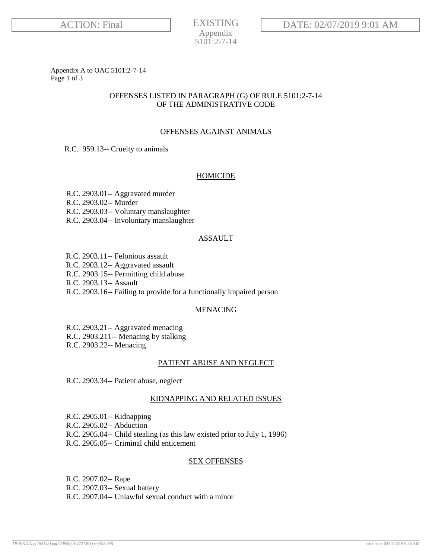**EXISTING** Appendix 5101:2-7-14

Appendix A to OAC 5101:2-7-14 Page 1 of 3

# OFFENSES LISTED IN PARAGRAPH (G) OF RULE 5101:2-7-14 OF THE ADMINISTRATIVE CODE

# OFFENSES AGAINST ANIMALS

R.C. 959.13-- Cruelty to animals

# HOMICIDE

R.C. 2903.01-- Aggravated murder R.C. 2903.02-- Murder R.C. 2903.03-- Voluntary manslaughter R.C. 2903.04-- Involuntary manslaughter

# ASSAULT

R.C. 2903.11-- Felonious assault

R.C. 2903.12-- Aggravated assault

R.C. 2903.15-- Permitting child abuse

R.C. 2903.13-- Assault

R.C. 2903.16-- Failing to provide for a functionally impaired person

# **MENACING**

R.C. 2903.21-- Aggravated menacing R.C. 2903.211-- Menacing by stalking

R.C. 2903.22-- Menacing

# PATIENT ABUSE AND NEGLECT

R.C. 2903.34-- Patient abuse, neglect

# KIDNAPPING AND RELATED ISSUES

R.C. 2905.01-- Kidnapping R.C. 2905.02-- Abduction R.C. 2905.04-- Child stealing (as this law existed prior to July 1, 1996) R.C. 2905.05-- Criminal child enticement

# SEX OFFENSES

R.C. 2907.02-- Rape R.C. 2907.03-- Sexual battery R.C. 2907.04-- Unlawful sexual conduct with a minor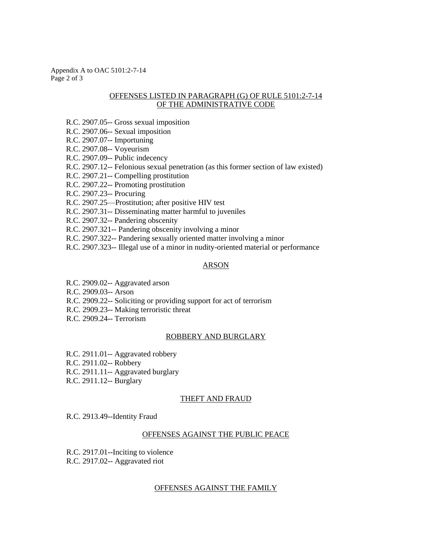Appendix A to OAC 5101:2-7-14 Page 2 of 3

### OFFENSES LISTED IN PARAGRAPH (G) OF RULE 5101:2-7-14 OF THE ADMINISTRATIVE CODE

- R.C. 2907.05-- Gross sexual imposition
- R.C. 2907.06-- Sexual imposition
- R.C. 2907.07-- Importuning
- R.C. 2907.08-- Voyeurism
- R.C. 2907.09-- Public indecency
- R.C. 2907.12-- Felonious sexual penetration (as this former section of law existed)
- R.C. 2907.21-- Compelling prostitution
- R.C. 2907.22-- Promoting prostitution
- R.C. 2907.23-- Procuring
- R.C. 2907.25—Prostitution; after positive HIV test
- R.C. 2907.31-- Disseminating matter harmful to juveniles
- R.C. 2907.32-- Pandering obscenity
- R.C. 2907.321-- Pandering obscenity involving a minor
- R.C. 2907.322-- Pandering sexually oriented matter involving a minor
- R.C. 2907.323-- Illegal use of a minor in nudity-oriented material or performance

#### ARSON

- R.C. 2909.02-- Aggravated arson
- R.C. 2909.03-- Arson
- R.C. 2909.22-- Soliciting or providing support for act of terrorism
- R.C. 2909.23-- Making terroristic threat
- R.C. 2909.24-- Terrorism

### ROBBERY AND BURGLARY

R.C. 2911.01-- Aggravated robbery R.C. 2911.02-- Robbery R.C. 2911.11-- Aggravated burglary R.C. 2911.12-- Burglary

### THEFT AND FRAUD

R.C. 2913.49--Identity Fraud

#### OFFENSES AGAINST THE PUBLIC PEACE

 R.C. 2917.01--Inciting to violence R.C. 2917.02-- Aggravated riot

### OFFENSES AGAINST THE FAMILY